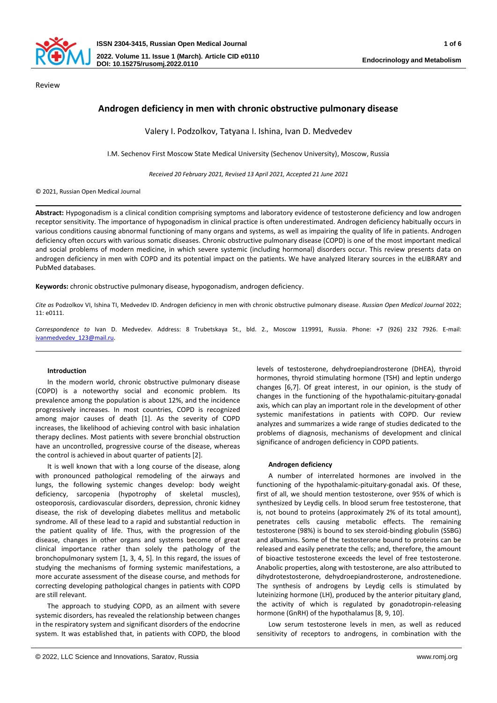

# **Androgen deficiency in men with chronic obstructive pulmonary disease**

Valery I. Podzolkov, Tatyana I. Ishina, Ivan D. Medvedev

I.M. Sechenov First Moscow State Medical University (Sechenov University), Moscow, Russia

*Received 20 February 2021, Revised 13 April 2021, Accepted 21 June 2021*

© 2021, Russian Open Medical Journal

**Abstract:** Hypogonadism is a clinical condition comprising symptoms and laboratory evidence of testosterone deficiency and low androgen receptor sensitivity. The importance of hypogonadism in clinical practice is often underestimated. Androgen deficiency habitually occurs in various conditions causing abnormal functioning of many organs and systems, as well as impairing the quality of life in patients. Androgen deficiency often occurs with various somatic diseases. Chronic obstructive pulmonary disease (COPD) is one of the most important medical and social problems of modern medicine, in which severe systemic (including hormonal) disorders occur. This review presents data on androgen deficiency in men with COPD and its potential impact on the patients. We have analyzed literary sources in the eLIBRARY and PubMed databases.

**Keywords:** chronic obstructive pulmonary disease, hypogonadism, androgen deficiency.

*Cite as* Podzolkov VI, Ishina TI, Medvedev ID. Androgen deficiency in men with chronic obstructive pulmonary disease. *Russian Open Medical Journal* 2022; 11: e0111.

*Correspondence to* Ivan D. Medvedev. Address: 8 Trubetskaya St., bld. 2., Moscow 119991, Russia. Phone: +7 (926) 232 7926. E-mail: [ivanmedvedev\\_123@mail.ru.](mailto:ivanmedvedev_123@mail.ru)

### **Introduction**

In the modern world, chronic obstructive pulmonary disease (COPD) is a noteworthy social and economic problem. Its prevalence among the population is about 12%, and the incidence progressively increases. In most countries, COPD is recognized among major causes of death [1]. As the severity of COPD increases, the likelihood of achieving control with basic inhalation therapy declines. Most patients with severe bronchial obstruction have an uncontrolled, progressive course of the disease, whereas the control is achieved in about quarter of patients [2].

It is well known that with a long course of the disease, along with pronounced pathological remodeling of the airways and lungs, the following systemic changes develop: body weight deficiency, sarcopenia (hypotrophy of skeletal muscles), osteoporosis, cardiovascular disorders, depression, chronic kidney disease, the risk of developing diabetes mellitus and metabolic syndrome. All of these lead to a rapid and substantial reduction in the patient quality of life. Thus, with the progression of the disease, changes in other organs and systems become of great clinical importance rather than solely the pathology of the bronchopulmonary system [1, 3, 4, 5]. In this regard, the issues of studying the mechanisms of forming systemic manifestations, a more accurate assessment of the disease course, and methods for correcting developing pathological changes in patients with COPD are still relevant.

The approach to studying COPD, as an ailment with severe systemic disorders, has revealed the relationship between changes in the respiratory system and significant disorders of the endocrine system. It was established that, in patients with COPD, the blood

levels of testosterone, dehydroepiandrosterone (DHEA), thyroid hormones, thyroid stimulating hormone (TSH) and leptin undergo changes [6,7]. Of great interest, in our opinion, is the study of changes in the functioning of the hypothalamic-pituitary-gonadal axis, which can play an important role in the development of other systemic manifestations in patients with COPD. Our review analyzes and summarizes a wide range of studies dedicated to the problems of diagnosis, mechanisms of development and clinical significance of androgen deficiency in COPD patients.

### **Androgen deficiency**

A number of interrelated hormones are involved in the functioning of the hypothalamic-pituitary-gonadal axis. Of these, first of all, we should mention testosterone, over 95% of which is synthesized by Leydig cells. In blood serum free testosterone, that is, not bound to proteins (approximately 2% of its total amount), penetrates cells causing metabolic effects. The remaining testosterone (98%) is bound to sex steroid-binding globulin (SSBG) and albumins. Some of the testosterone bound to proteins can be released and easily penetrate the cells; and, therefore, the amount of bioactive testosterone exceeds the level of free testosterone. Anabolic properties, along with testosterone, are also attributed to dihydrotestosterone, dehydroepiandrosterone, androstenedione. The synthesis of androgens by Leydig cells is stimulated by luteinizing hormone (LH), produced by the anterior pituitary gland, the activity of which is regulated by gonadotropin-releasing hormone (GnRH) of the hypothalamus [8, 9, 10].

Low serum testosterone levels in men, as well as reduced sensitivity of receptors to androgens, in combination with the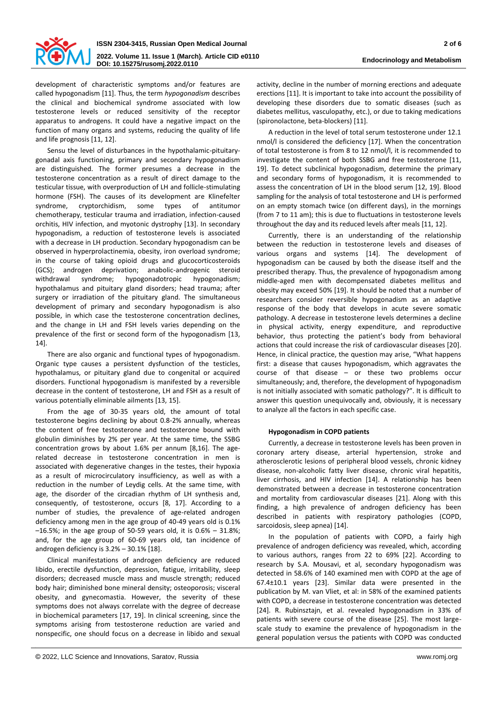

development of characteristic symptoms and/or features are called hypogonadism [11]. Thus, the term *hypogonadism* describes the clinical and biochemical syndrome associated with low testosterone levels or reduced sensitivity of the receptor apparatus to androgens. It could have a negative impact on the function of many organs and systems, reducing the quality of life and life prognosis [11, 12].

Sensu the level of disturbances in the hypothalamic-pituitarygonadal axis functioning, primary and secondary hypogonadism are distinguished. The former presumes a decrease in the testosterone concentration as a result of direct damage to the testicular tissue, with overproduction of LH and follicle-stimulating hormone (FSH). The causes of its development are Klinefelter syndrome, cryptorchidism, some types of antitumor chemotherapy, testicular trauma and irradiation, infection-caused orchitis, HIV infection, and myotonic dystrophy [13]. In secondary hypogonadism, a reduction of testosterone levels is associated with a decrease in LH production. Secondary hypogonadism can be observed in hyperprolactinemia, obesity, iron overload syndrome; in the course of taking opioid drugs and glucocorticosteroids (GCS); androgen deprivation; anabolic-androgenic steroid withdrawal syndrome; hypogonadotropic hypogonadism; hypothalamus and pituitary gland disorders; head trauma; after surgery or irradiation of the pituitary gland. The simultaneous development of primary and secondary hypogonadism is also possible, in which case the testosterone concentration declines, and the change in LH and FSH levels varies depending on the prevalence of the first or second form of the hypogonadism [13, 14].

There are also organic and functional types of hypogonadism. Organic type causes a persistent dysfunction of the testicles, hypothalamus, or pituitary gland due to congenital or acquired disorders. Functional hypogonadism is manifested by a reversible decrease in the content of testosterone, LH and FSH as a result of various potentially eliminable ailments [13, 15].

From the age of 30-35 years old, the amount of total testosterone begins declining by about 0.8-2% annually, whereas the content of free testosterone and testosterone bound with globulin diminishes by 2% per year. At the same time, the SSBG concentration grows by about 1.6% per annum [8,16]. The agerelated decrease in testosterone concentration in men is associated with degenerative changes in the testes, their hypoxia as a result of microcirculatory insufficiency, as well as with a reduction in the number of Leydig cells. At the same time, with age, the disorder of the circadian rhythm of LH synthesis and, consequently, of testosterone, occurs [8, 17]. According to a number of studies, the prevalence of age-related androgen deficiency among men in the age group of 40-49 years old is 0.1% –16.5%; in the age group of 50-59 years old, it is 0.6% – 31.8%; and, for the age group of 60-69 years old, tan incidence of androgen deficiency is 3.2% – 30.1% [18].

Clinical manifestations of androgen deficiency are reduced libido, erectile dysfunction, depression, fatigue, irritability, sleep disorders; decreased muscle mass and muscle strength; reduced body hair; diminished bone mineral density; osteoporosis; visceral obesity, and gynecomastia. However, the severity of these symptoms does not always correlate with the degree of decrease in biochemical parameters [17, 19]. In clinical screening, since the symptoms arising from testosterone reduction are varied and nonspecific, one should focus on a decrease in libido and sexual

activity, decline in the number of morning erections and adequate erections [11]. It is important to take into account the possibility of developing these disorders due to somatic diseases (such as diabetes mellitus, vasculopathy, etc.), or due to taking medications (spironolactone, beta-blockers) [11].

A reduction in the level of total serum testosterone under 12.1 nmol/l is considered the deficiency [17]. When the concentration of total testosterone is from 8 to 12 nmol/l, it is recommended to investigate the content of both SSBG and free testosterone [11, 19]. To detect subclinical hypogonadism, determine the primary and secondary forms of hypogonadism, it is recommended to assess the concentration of LH in the blood serum [12, 19]. Blood sampling for the analysis of total testosterone and LH is performed on an empty stomach twice (on different days), in the mornings (from 7 to 11 am); this is due to fluctuations in testosterone levels throughout the day and its reduced levels after meals [11, 12].

Currently, there is an understanding of the relationship between the reduction in testosterone levels and diseases of various organs and systems [14]. The development of hypogonadism can be caused by both the disease itself and the prescribed therapy. Thus, the prevalence of hypogonadism among middle-aged men with decompensated diabetes mellitus and obesity may exceed 50% [19]. It should be noted that a number of researchers consider reversible hypogonadism as an adaptive response of the body that develops in acute severe somatic pathology. A decrease in testosterone levels determines a decline in physical activity, energy expenditure, and reproductive behavior, thus protecting the patient's body from behavioral actions that could increase the risk of cardiovascular diseases [20]. Hence, in clinical practice, the question may arise, "What happens first: a disease that causes hypogonadism, which aggravates the course of that disease – or these two problems occur simultaneously; and, therefore, the development of hypogonadism is not initially associated with somatic pathology?". It is difficult to answer this question unequivocally and, obviously, it is necessary to analyze all the factors in each specific case.

### **Hypogonadism in COPD patients**

Currently, a decrease in testosterone levels has been proven in coronary artery disease, arterial hypertension, stroke and atherosclerotic lesions of peripheral blood vessels, chronic kidney disease, non-alcoholic fatty liver disease, chronic viral hepatitis, liver cirrhosis, and HIV infection [14]. A relationship has been demonstrated between a decrease in testosterone concentration and mortality from cardiovascular diseases [21]. Along with this finding, a high prevalence of androgen deficiency has been described in patients with respiratory pathologies (COPD, sarcoidosis, sleep apnea) [14].

In the population of patients with COPD, a fairly high prevalence of androgen deficiency was revealed, which, according to various authors, ranges from 22 to 69% [22]. According to research by S.A. Mousavi, et al, secondary hypogonadism was detected in 58.6% of 140 examined men with COPD at the age of 67.4±10.1 years [23]. Similar data were presented in the publication by M. van Vliet, et al: in 58% of the examined patients with COPD, a decrease in testosterone concentration was detected [24]. R. Rubinsztajn, et al. revealed hypogonadism in 33% of patients with severe course of the disease [25]. The most largescale study to examine the prevalence of hypogonadism in the general population versus the patients with COPD was conducted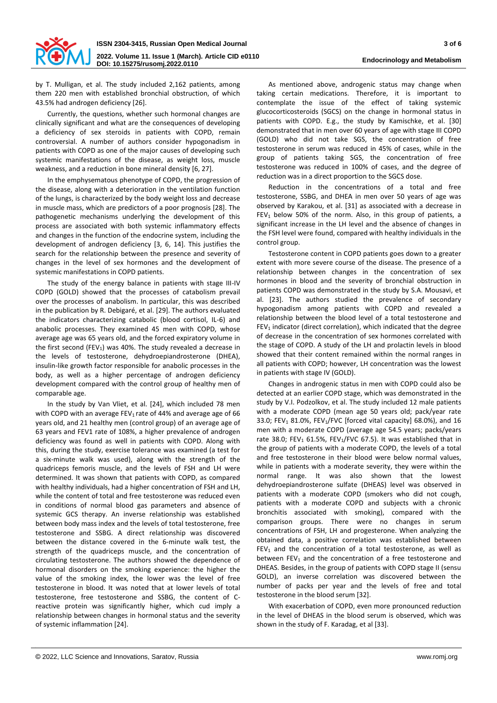

by T. Mulligan, et al. The study included 2,162 patients, among them 220 men with established bronchial obstruction, of which 43.5% had androgen deficiency [26].

Currently, the questions, whether such hormonal changes are clinically significant and what are the consequences of developing a deficiency of sex steroids in patients with COPD, remain controversial. A number of authors consider hypogonadism in patients with COPD as one of the major causes of developing such systemic manifestations of the disease, as weight loss, muscle weakness, and a reduction in bone mineral density [6, 27].

In the emphysematous phenotype of COPD, the progression of the disease, along with a deterioration in the ventilation function of the lungs, is characterized by the body weight loss and decrease in muscle mass, which are predictors of a poor prognosis [28]. The pathogenetic mechanisms underlying the development of this process are associated with both systemic inflammatory effects and changes in the function of the endocrine system, including the development of androgen deficiency [3, 6, 14]. This justifies the search for the relationship between the presence and severity of changes in the level of sex hormones and the development of systemic manifestations in COPD patients.

The study of the energy balance in patients with stage III-IV COPD (GOLD) showed that the processes of catabolism prevail over the processes of anabolism. In particular, this was described in the publication by R. Debigaré, et al. [29]. The authors evaluated the indicators characterizing catabolic (blood cortisol, IL-6) and anabolic processes. They examined 45 men with COPD, whose average age was 65 years old, and the forced expiratory volume in the first second (FEV<sub>1</sub>) was 40%. The study revealed a decrease in the levels of testosterone, dehydroepiandrosterone (DHEA), insulin-like growth factor responsible for anabolic processes in the body, as well as a higher percentage of androgen deficiency development compared with the control group of healthy men of comparable age.

In the study by Van Vliet, et al. [24], which included 78 men with COPD with an average FEV<sub>1</sub> rate of 44% and average age of 66 years old, and 21 healthy men (control group) of an average age of 63 years and FEV1 rate of 108%, a higher prevalence of androgen deficiency was found as well in patients with COPD. Along with this, during the study, exercise tolerance was examined (a test for a six-minute walk was used), along with the strength of the quadriceps femoris muscle, and the levels of FSH and LH were determined. It was shown that patients with COPD, as compared with healthy individuals, had a higher concentration of FSH and LH, while the content of total and free testosterone was reduced even in conditions of normal blood gas parameters and absence of systemic GCS therapy. An inverse relationship was established between body mass index and the levels of total testosterone, free testosterone and SSBG. A direct relationship was discovered between the distance covered in the 6-minute walk test, the strength of the quadriceps muscle, and the concentration of circulating testosterone. The authors showed the dependence of hormonal disorders on the smoking experience: the higher the value of the smoking index, the lower was the level of free testosterone in blood. It was noted that at lower levels of total testosterone, free testosterone and SSBG, the content of Creactive protein was significantly higher, which cud imply a relationship between changes in hormonal status and the severity of systemic inflammation [24].

As mentioned above, androgenic status may change when taking certain medications. Therefore, it is important to contemplate the issue of the effect of taking systemic glucocorticosteroids (SGCS) on the change in hormonal status in patients with COPD. E.g., the study by Kamischke, et al. [30] demonstrated that in men over 60 years of age with stage III COPD (GOLD) who did not take SGS, the concentration of free testosterone in serum was reduced in 45% of cases, while in the group of patients taking SGS, the concentration of free testosterone was reduced in 100% of cases, and the degree of reduction was in a direct proportion to the SGCS dose.

Reduction in the concentrations of a total and free testosterone, SSBG, and DHEA in men over 50 years of age was observed by Karakou, et al. [31] as associated with a decrease in  $FEV<sub>1</sub>$  below 50% of the norm. Also, in this group of patients, a significant increase in the LH level and the absence of changes in the FSH level were found, compared with healthy individuals in the control group.

Testosterone content in COPD patients goes down to a greater extent with more severe course of the disease. The presence of a relationship between changes in the concentration of sex hormones in blood and the severity of bronchial obstruction in patients COPD was demonstrated in the study by S.A. Mousavi, et al. [23]. The authors studied the prevalence of secondary hypogonadism among patients with COPD and revealed a relationship between the blood level of a total testosterone and  $FEV<sub>1</sub>$  indicator (direct correlation), which indicated that the degree of decrease in the concentration of sex hormones correlated with the stage of COPD. A study of the LH and prolactin levels in blood showed that their content remained within the normal ranges in all patients with COPD; however, LH concentration was the lowest in patients with stage IV (GOLD).

Changes in androgenic status in men with COPD could also be detected at an earlier COPD stage, which was demonstrated in the study by V.I. Podzolkov, et al. The study included 12 male patients with a moderate COPD (mean age 50 years old; pack/year rate 33.0; FEV<sub>1</sub> 81.0%, FEV<sub>1</sub>/FVC [forced vital capacity] 68.0%), and 16 men with a moderate COPD (average age 54.5 years; packs/years rate 38.0; FEV<sub>1</sub> 61.5%, FEV<sub>1</sub>/FVC 67.5). It was established that in the group of patients with a moderate COPD, the levels of a total and free testosterone in their blood were below normal values, while in patients with a moderate severity, they were within the normal range. It was also shown that the lowest dehydroepiandrosterone sulfate (DHEAS) level was observed in patients with a moderate COPD (smokers who did not cough, patients with a moderate COPD and subjects with a chronic bronchitis associated with smoking), compared with the comparison groups. There were no changes in serum concentrations of FSH, LH and progesterone. When analyzing the obtained data, a positive correlation was established between  $FEV<sub>1</sub>$  and the concentration of a total testosterone, as well as between  $FEV<sub>1</sub>$  and the concentration of a free testosterone and DHEAS. Besides, in the group of patients with COPD stage II (sensu GOLD), an inverse correlation was discovered between the number of packs per year and the levels of free and total testosterone in the blood serum [32].

With exacerbation of COPD, even more pronounced reduction in the level of DHEAS in the blood serum is observed, which was shown in the study of F. Karadag, et al [33].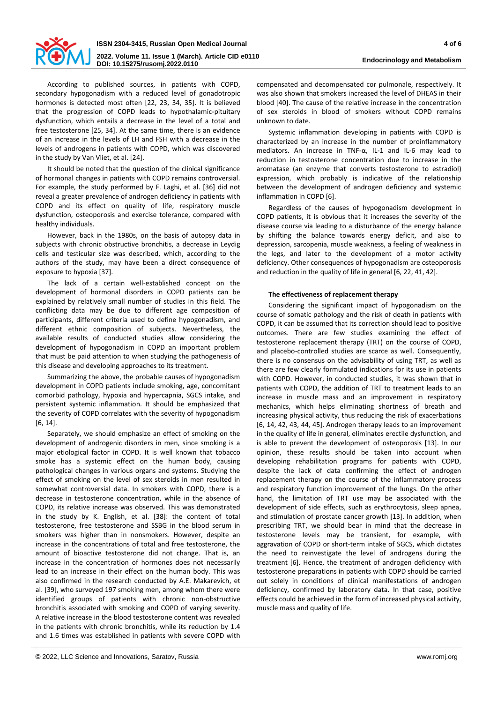

According to published sources, in patients with COPD, secondary hypogonadism with a reduced level of gonadotropic hormones is detected most often [22, 23, 34, 35]. It is believed that the progression of COPD leads to hypothalamic-pituitary dysfunction, which entails a decrease in the level of a total and free testosterone [25, 34]. At the same time, there is an evidence of an increase in the levels of LH and FSH with a decrease in the levels of androgens in patients with COPD, which was discovered in the study by Van Vliet, et al. [24].

It should be noted that the question of the clinical significance of hormonal changes in patients with COPD remains controversial. For example, the study performed by F. Laghi, et al. [36] did not reveal a greater prevalence of androgen deficiency in patients with COPD and its effect on quality of life, respiratory muscle dysfunction, osteoporosis and exercise tolerance, compared with healthy individuals.

However, back in the 1980s, on the basis of autopsy data in subjects with chronic obstructive bronchitis, a decrease in Leydig cells and testicular size was described, which, according to the authors of the study, may have been a direct consequence of exposure to hypoxia [37].

The lack of a certain well-established concept on the development of hormonal disorders in COPD patients can be explained by relatively small number of studies in this field. The conflicting data may be due to different age composition of participants, different criteria used to define hypogonadism, and different ethnic composition of subjects. Nevertheless, the available results of conducted studies allow considering the development of hypogonadism in COPD an important problem that must be paid attention to when studying the pathogenesis of this disease and developing approaches to its treatment.

Summarizing the above, the probable causes of hypogonadism development in COPD patients include smoking, age, concomitant comorbid pathology, hypoxia and hypercapnia, SGCS intake, and persistent systemic inflammation. It should be emphasized that the severity of COPD correlates with the severity of hypogonadism [6, 14].

Separately, we should emphasize an effect of smoking on the development of androgenic disorders in men, since smoking is a major etiological factor in COPD. It is well known that tobacco smoke has a systemic effect on the human body, causing pathological changes in various organs and systems. Studying the effect of smoking on the level of sex steroids in men resulted in somewhat controversial data. In smokers with COPD, there is a decrease in testosterone concentration, while in the absence of COPD, its relative increase was observed. This was demonstrated in the study by K. English, et al. [38]: the content of total testosterone, free testosterone and SSBG in the blood serum in smokers was higher than in nonsmokers. However, despite an increase in the concentrations of total and free testosterone, the amount of bioactive testosterone did not change. That is, an increase in the concentration of hormones does not necessarily lead to an increase in their effect on the human body. This was also confirmed in the research conducted by A.E. Makarevich, et al. [39], who surveyed 197 smoking men, among whom there were identified groups of patients with chronic non-obstructive bronchitis associated with smoking and COPD of varying severity. A relative increase in the blood testosterone content was revealed in the patients with chronic bronchitis, while its reduction by 1.4 and 1.6 times was established in patients with severe COPD with

compensated and decompensated cor pulmonale, respectively. It was also shown that smokers increased the level of DHEAS in their blood [40]. The cause of the relative increase in the concentration of sex steroids in blood of smokers without COPD remains unknown to date.

Systemic inflammation developing in patients with COPD is characterized by an increase in the number of proinflammatory mediators. An increase in TNF-α, IL-1 and IL-6 may lead to reduction in testosterone concentration due to increase in the aromatase (an enzyme that converts testosterone to estradiol) expression, which probably is indicative of the relationship between the development of androgen deficiency and systemic inflammation in COPD [6].

Regardless of the causes of hypogonadism development in COPD patients, it is obvious that it increases the severity of the disease course via leading to a disturbance of the energy balance by shifting the balance towards energy deficit, and also to depression, sarcopenia, muscle weakness, a feeling of weakness in the legs, and later to the development of a motor activity deficiency. Other consequences of hypogonadism are osteoporosis and reduction in the quality of life in general [6, 22, 41, 42].

# **The effectiveness of replacement therapy**

Considering the significant impact of hypogonadism on the course of somatic pathology and the risk of death in patients with COPD, it can be assumed that its correction should lead to positive outcomes. There are few studies examining the effect of testosterone replacement therapy (TRT) on the course of COPD, and placebo-controlled studies are scarce as well. Consequently, there is no consensus on the advisability of using TRT, as well as there are few clearly formulated indications for its use in patients with COPD. However, in conducted studies, it was shown that in patients with COPD, the addition of TRT to treatment leads to an increase in muscle mass and an improvement in respiratory mechanics, which helps eliminating shortness of breath and increasing physical activity, thus reducing the risk of exacerbations [6, 14, 42, 43, 44, 45]. Androgen therapy leads to an improvement in the quality of life in general, eliminates erectile dysfunction, and is able to prevent the development of osteoporosis [13]. In our opinion, these results should be taken into account when developing rehabilitation programs for patients with COPD, despite the lack of data confirming the effect of androgen replacement therapy on the course of the inflammatory process and respiratory function improvement of the lungs. On the other hand, the limitation of TRT use may be associated with the development of side effects, such as erythrocytosis, sleep apnea, and stimulation of prostate cancer growth [13]. In addition, when prescribing TRT, we should bear in mind that the decrease in testosterone levels may be transient, for example, with aggravation of COPD or short-term intake of SGCS, which dictates the need to reinvestigate the level of androgens during the treatment [6]. Hence, the treatment of androgen deficiency with testosterone preparations in patients with COPD should be carried out solely in conditions of clinical manifestations of androgen deficiency, confirmed by laboratory data. In that case, positive effects could be achieved in the form of increased physical activity, muscle mass and quality of life.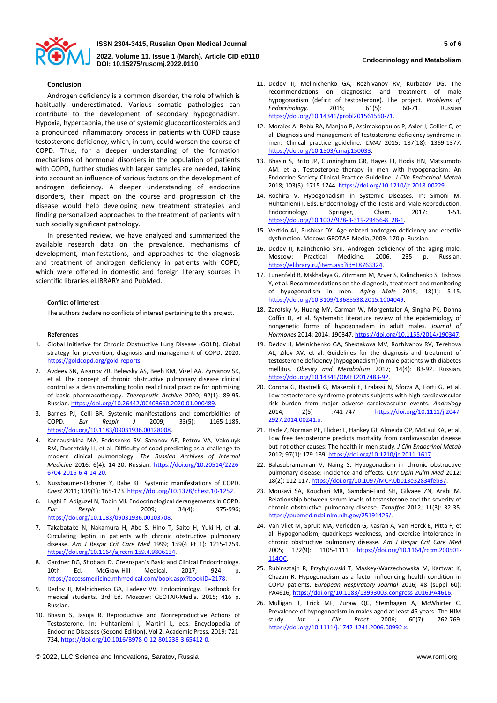

## **Conclusion**

Androgen deficiency is a common disorder, the role of which is habitually underestimated. Various somatic pathologies can contribute to the development of secondary hypogonadism. Hypoxia, hypercapnia, the use of systemic glucocorticosteroids and a pronounced inflammatory process in patients with COPD cause testosterone deficiency, which, in turn, could worsen the course of COPD. Thus, for a deeper understanding of the formation mechanisms of hormonal disorders in the population of patients with COPD, further studies with larger samples are needed, taking into account an influence of various factors on the development of androgen deficiency. A deeper understanding of endocrine disorders, their impact on the course and progression of the disease would help developing new treatment strategies and finding personalized approaches to the treatment of patients with such socially significant pathology.

In presented review, we have analyzed and summarized the available research data on the prevalence, mechanisms of development, manifestations, and approaches to the diagnosis and treatment of androgen deficiency in patients with COPD, which were offered in domestic and foreign literary sources in scientific libraries eLIBRARY and PubMed.

### **Conflict of interest**

The authors declare no conflicts of interest pertaining to this project.

#### **References**

- 1. Global Initiative for Chronic Obstructive Lung Disease (GOLD). Global strategy for prevention, diagnosis and management of COPD. 2020. [https://goldcopd.org/gold-reports.](https://goldcopd.org/gold-reports)
- 2. Avdeev SN, Aisanov ZR, Belevsky AS, Beeh KM, Vizel AA. Zyryanov SK, et al. The concept of chronic obstructive pulmonary disease clinical control as a decision-making toolin real clinical practice for optimizing of basic pharmacotherapy. *Therapeutic Archive* 2020; 92(1): 89-95. Russian. [https://doi.org/10.26442/00403660.2020.01.000489.](https://doi.org/10.26442/00403660.2020.01.000489)
- 3. Barnes PJ, Celli BR. Systemic manifestations and comorbidities of COPD. *Eur Respir J* 2009; 33(5): 1165-1185. [https://doi.org/10.1183/09031936.00128008.](https://doi.org/10.1183/09031936.00128008)
- 4. Karnaushkina MA, Fedosenko SV, Sazonov AE, Petrov VA, Vakoluyk RM, Dvoretckiy LI, et al. Difficulty of copd predicting as a challenge to modern clinical pulmonology. *The Russian Archives of Internal Medicine* 2016; 6(4): 14-20. Russian. [https://doi.org/10.20514/2226-](https://doi.org/10.20514/2226-6704-2016-6-4-14-20) [6704-2016-6-4-14-20.](https://doi.org/10.20514/2226-6704-2016-6-4-14-20)
- 5. Nussbaumer-Ochsner Y, Rabe KF. Systemic manifestations of COPD. *Chest* 2011; 139(1): 165-173[. https://doi.org/10.1378/chest.10-1252.](https://doi.org/10.1378/chest.10-1252)
- 6. Laghi F, Adiguzel N, Tobin MJ. Endocrinological derangements in COPD. *Eur Respir J* 2009; 34(4): 975-996; [https://doi.org/10.1183/09031936.00103708.](https://doi.org/10.1183/09031936.00103708)
- 7. Takabatake N, Nakamura H, Abe S, Hino T, Saito H, Yuki H, et al. Circulating leptin in patients with chronic obstructive pulmonary disease. *Am J Respir Crit Care Med* 1999; 159(4 Pt 1): 1215-1259. [https://doi.org/10.1164/ajrccm.159.4.9806134.](https://doi.org/10.1164/ajrccm.159.4.9806134)
- 8. Gardner DG, Shoback D. Greenspan's Basic and Clinical Endocrinology. 10th Ed. McGraw-Hill Medical. 2017; 924 p. [https://accessmedicine.mhmedical.com/book.aspx?bookID=2178.](https://accessmedicine.mhmedical.com/book.aspx?bookID=2178)
- 9. Dedov II, Melnichenko GA, Fadeev VV. Endocrinology. Textbook for medical students. 3rd Ed. Moscow: GEOTAR-Media. 2015; 416 p. Russian.
- 10. Bhasin S, Jasuja R. Reproductive and Nonreproductive Actions of Testosterone. In: Huhtaniemi I, Martini L, eds. Encyclopedia of Endocrine Diseases (Second Edition). Vol 2. Academic Press. 2019: 721- 734[. https://doi.org/10.1016/B978-0-12-801238-3.65412-0.](https://doi.org/10.1016/B978-0-12-801238-3.65412-0)
- 12. Morales A, Bebb RA, Manjoo P, Assimakopoulos P, Axler J, Collier C, et al. Diagnosis and management of testosterone deficiency syndrome in men: Clinical practice guideline. *CMAJ* 2015; 187(18): 1369-1377. [https://doi.org/10.1503/cmaj.150033.](https://doi.org/10.1503/cmaj.150033)
- 13. Bhasin S, Brito JP, Cunningham GR, Hayes FJ, Hodis HN, Matsumoto AM, et al. Testosterone therapy in men with hypogonadism: An Endocrine Society Clinical Practice Guideline. *J Clin Endocrinol Metab* 2018; 103(5): 1715-1744[. https://doi.org/10.1210/jc.2018-00229.](https://doi.org/10.1210/jc.2018-00229)
- 14. Rochira V. Hypogonadism in Systemic Diseases. In: Simoni M, Huhtaniemi I, Eds. Endocrinology of the Testis and Male Reproduction. Endocrinology. Springer, Cham. 2017: 1-51. [https://doi.org/10.1007/978-3-319-29456-8\\_28-1.](https://doi.org/10.1007/978-3-319-29456-8_28-1)
- 15. Vertkin AL, Pushkar DY. Age-related androgen deficiency and erectile dysfunction. Mocow: GEOTAR-Media, 2009. 170 р. Russian.
- 16. Dedov II, Kalinchenkо SYu. Androgen deficiency of the aging male. Мoscow: Practical Medicine. 2006. 235 p. Russian. [https://elibrary.ru/item.asp?id=18763324.](https://elibrary.ru/item.asp?id=18763324)
- 17. Lunenfeld B, Mskhalaya G, Zitzmann M, Arver S, Kalinchenko S, Tishova Y, et al. Recommendations on the diagnosis, treatment and monitoring of hypogonadism in men. *Aging Male* 2015; 18(1): 5-15. [https://doi.org/10.3109/13685538.2015.1004049.](https://doi.org/10.3109/13685538.2015.1004049)
- 18. Zarotsky V, Huang MY, Carman W, Morgentaler A, Singha PK, Donna Coffin D, et al. Systematic literature review of the epidemiology of nongenetic forms of hypogonadism in adult males. *Journal of Hormones* 2014; 2014: 190347. [https://doi.org/10.1155/2014/190347.](https://doi.org/10.1155/2014/190347)
- 19. Dedov II, Melnichenko GA, Shestakova MV, Rozhivanov RV, Terehova AL, Zilov AV, et al. Guidelines for the diagnosis and treatment of testosterone deficiency (hypogonadism) in male patients with diabetes mellitus. *Obesity and Metabolism* 2017; 14(4): 83-92. Russian. [https://doi.org/10.14341/OMET2017483-92.](https://doi.org/10.14341/OMET2017483-92)
- 20. Corona G, Rastrelli G, Maseroli E, Fralassi N, Sforza A, Forti G, et al. Low testosterone syndrome protects subjects with high cardiovascular risk burden from major adverse cardiovascular events. *Andrology* 2014; 2(5) :741-747. [https://doi.org/10.1111/j.2047-](https://doi.org/10.1111/j.2047-2927.2014.00241.x) [2927.2014.00241.x.](https://doi.org/10.1111/j.2047-2927.2014.00241.x)
- 21. Hyde Z, Norman PE, Flicker L, Hankey GJ, Almeida OP, McCaul KA, et al. Low free testosterone predicts mortality from cardiovascular disease but not other causes: The health in men study. *J Clin Endocrinol Metab*  2012; 97(1): 179-189[. https://doi.org/10.1210/jc.2011-1617.](https://doi.org/10.1210/jc.2011-1617)
- 22. Balasubramanian V, Naing S. Hypogonadism in chronic obstructive pulmonary disease: incidence and effects. *Curr Opin Pulm Med* 2012; 18(2): 112-117[. https://doi.org/10.1097/MCP.0b013e32834feb37.](https://doi.org/10.1097/MCP.0b013e32834feb37)
- 23. Mousavi SA, Kouchari MR, Samdani-Fard SH, Gilvaee ZN, Arabi M. Relationship between serum levels of testosterone and the severity of chronic obstructive pulmonary disease. *Tanaffos* 2012; 11(3): 32-35. [https://pubmed.ncbi.nlm.nih.gov/25191426/.](https://pubmed.ncbi.nlm.nih.gov/25191426/)
- 24. Van Vliet M, Spruit MA, Verleden G, Kasran A, Van Herck E, Pitta F, et al. Hypogonadism, quadriceps weakness, and exercise intolerance in chronic obstructive pulmonary disease. *Am J Respir Crit Care Med* 2005; 172(9): 1105-1111 [https://doi.org/10.1164/rccm.200501-](https://doi.org/10.1164/rccm.200501-114OC) [114OC.](https://doi.org/10.1164/rccm.200501-114OC)
- 25. Rubinsztajn R, Przybylowski T, Maskey-Warzechowska M, Kartwat K, Chazan R. Hypogonadism as a factor influencing health condition in COPD patients. *European Respiratory Journal* 2016; 48 (suppl 60): PA4616[; https://doi.org/10.1183/13993003.congress-2016.PA4616.](https://doi.org/10.1183/13993003.congress-2016.PA4616)
- 26. Mulligan T, Frick MF, Zuraw QC, Stemhagen A, McWhirter C. Prevalence of hypogonadism in males aged at least 45 years: The HIM study. *Int J Clin Pract* 2006; 60(7): 762-769. [https://doi.org/10.1111/j.1742-1241.2006.00992.x.](https://doi.org/10.1111/j.1742-1241.2006.00992.x)

<sup>11.</sup> Dedov II, Mel'nichenko GA, Rozhivanov RV, Kurbatov DG. The recommendations on diagnostics and treatment of male hypogonadism (deficit of testosterone). The project. *Problems of*  Endocrinology. [https://doi.org/10.14341/probl201561560-71.](https://doi.org/10.14341/probl201561560-71)